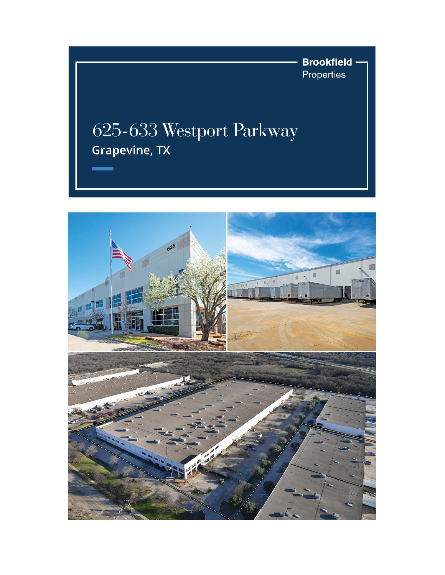**Brookfield** Properties

## 625-633 Westport Parkway Grapevine, TX

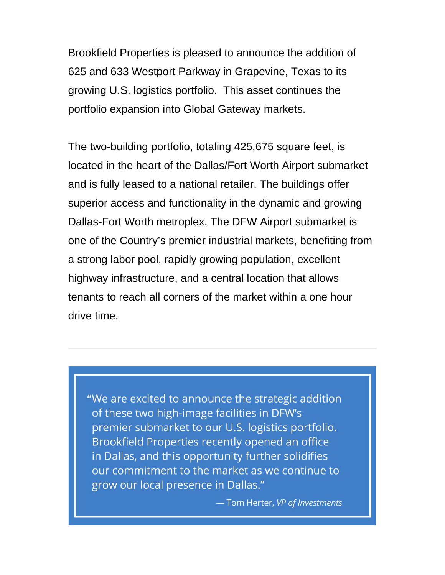Brookfield Properties is pleased to announce the addition of 625 and 633 Westport Parkway in Grapevine, Texas to its growing U.S. logistics portfolio. This asset continues the portfolio expansion into Global Gateway markets.

The two-building portfolio, totaling 425,675 square feet, is located in the heart of the Dallas/Fort Worth Airport submarket and is fully leased to a national retailer. The buildings offer superior access and functionality in the dynamic and growing Dallas-Fort Worth metroplex. The DFW Airport submarket is one of the Country's premier industrial markets, benefiting from a strong labor pool, rapidly growing population, excellent highway infrastructure, and a central location that allows tenants to reach all corners of the market within a one hour drive time.

"We are excited to announce the strategic addition of these two high-image facilities in DFW's premier submarket to our U.S. logistics portfolio. Brookfield Properties recently opened an office in Dallas, and this opportunity further solidifies our commitment to the market as we continue to grow our local presence in Dallas."

- Tom Herter, VP of Investments